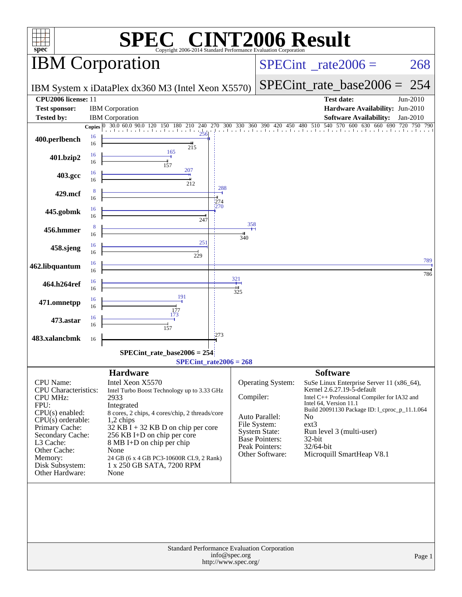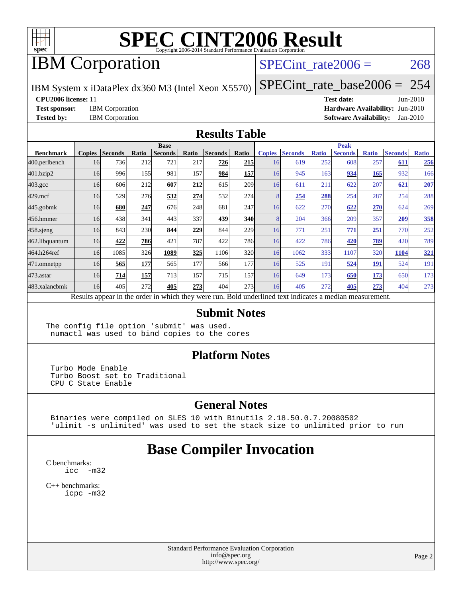

## IBM Corporation

#### SPECint rate $2006 = 268$

IBM System x iDataPlex dx360 M3 (Intel Xeon X5570)

[SPECint\\_rate\\_base2006 =](http://www.spec.org/auto/cpu2006/Docs/result-fields.html#SPECintratebase2006) 254

**[CPU2006 license:](http://www.spec.org/auto/cpu2006/Docs/result-fields.html#CPU2006license)** 11 **[Test date:](http://www.spec.org/auto/cpu2006/Docs/result-fields.html#Testdate)** Jun-2010

**[Test sponsor:](http://www.spec.org/auto/cpu2006/Docs/result-fields.html#Testsponsor)** IBM Corporation **[Hardware Availability:](http://www.spec.org/auto/cpu2006/Docs/result-fields.html#HardwareAvailability)** Jun-2010 **[Tested by:](http://www.spec.org/auto/cpu2006/Docs/result-fields.html#Testedby)** IBM Corporation **[Software Availability:](http://www.spec.org/auto/cpu2006/Docs/result-fields.html#SoftwareAvailability)** Jan-2010

#### **[Results Table](http://www.spec.org/auto/cpu2006/Docs/result-fields.html#ResultsTable)**

|                    | <b>Base</b>   |                |       |                                                                                                          |       |                |            |               | <b>Peak</b>    |              |                |              |                |              |  |
|--------------------|---------------|----------------|-------|----------------------------------------------------------------------------------------------------------|-------|----------------|------------|---------------|----------------|--------------|----------------|--------------|----------------|--------------|--|
| <b>Benchmark</b>   | <b>Copies</b> | <b>Seconds</b> | Ratio | <b>Seconds</b>                                                                                           | Ratio | <b>Seconds</b> | Ratio      | <b>Copies</b> | <b>Seconds</b> | <b>Ratio</b> | <b>Seconds</b> | <b>Ratio</b> | <b>Seconds</b> | <b>Ratio</b> |  |
| $ 400$ .perlbench  | 16            | 736            | 212   | 721                                                                                                      | 217   | 726            | <b>215</b> | 16            | 619            | 252          | 608            | 257          | 611            | 256          |  |
| 401.bzip2          | 16            | 996            | 155   | 981                                                                                                      | 157   | 984            | <b>157</b> | 16            | 945            | 163          | 934            | 165          | 932            | 166          |  |
| $403.\mathrm{gcc}$ | 16            | 606            | 212   | 607                                                                                                      | 212   | 615            | <b>209</b> | 16            | 611            | 211          | 622            | 207          | 621            | <b>207</b>   |  |
| $429$ .mcf         | 16            | 529            | 276   | 532                                                                                                      | 274   | 532            | 274        | 8             | 254            | 288          | 254            | 287          | 254            | 288          |  |
| $445$ .gobmk       | 16            | 680            | 247   | 676                                                                                                      | 248   | 681            | 247        | 16            | 622            | 270          | 622            | 270          | 624            | 269          |  |
| 456.hmmer          | 16            | 438            | 341   | 443                                                                                                      | 337   | 439            | <b>340</b> | 8             | 204            | 366          | 209            | 357          | 209            | 358          |  |
| $458$ .sjeng       | 16            | 843            | 230   | 844                                                                                                      | 229   | 844            | 229        | 16            | 771            | 251          | 771            | 251          | 770            | 252          |  |
| 462.libquantum     | 16            | 422            | 786   | 421                                                                                                      | 787   | 422            | <b>786</b> | 16            | 422            | 786          | 420            | <u>789</u>   | 420            | 789          |  |
| 464.h264ref        | 16            | 1085           | 326   | 1089                                                                                                     | 325   | 1106           | 320        | 16            | 1062           | 333          | 1107           | 320          | 1104           | 321          |  |
| 471.omnetpp        | 16            | 565            | 177   | 565                                                                                                      | 177   | 566            | 177        | 16            | 525            | 191          | 524            | <b>191</b>   | 524            | 191          |  |
| $473.$ astar       | 16            | 714            | 157   | 713                                                                                                      | 157   | 715            | 157        | 16            | 649            | 173          | 650            | 173          | 650            | 173          |  |
| 483.xalancbmk      | 16            | 405            | 272   | 405                                                                                                      | 273   | 404            | 273        | 16            | 405            | 272          | 405            | 273          | 404            | 273          |  |
|                    |               |                |       | Results appear in the order in which they were run. Bold underlined text indicates a median measurement. |       |                |            |               |                |              |                |              |                |              |  |

#### **[Submit Notes](http://www.spec.org/auto/cpu2006/Docs/result-fields.html#SubmitNotes)**

The config file option 'submit' was used. numactl was used to bind copies to the cores

#### **[Platform Notes](http://www.spec.org/auto/cpu2006/Docs/result-fields.html#PlatformNotes)**

 Turbo Mode Enable Turbo Boost set to Traditional CPU C State Enable

#### **[General Notes](http://www.spec.org/auto/cpu2006/Docs/result-fields.html#GeneralNotes)**

 Binaries were compiled on SLES 10 with Binutils 2.18.50.0.7.20080502 'ulimit -s unlimited' was used to set the stack size to unlimited prior to run

### **[Base Compiler Invocation](http://www.spec.org/auto/cpu2006/Docs/result-fields.html#BaseCompilerInvocation)**

[C benchmarks](http://www.spec.org/auto/cpu2006/Docs/result-fields.html#Cbenchmarks): [icc -m32](http://www.spec.org/cpu2006/results/res2010q3/cpu2006-20100621-11794.flags.html#user_CCbase_intel_icc_32bit_5ff4a39e364c98233615fdd38438c6f2)

[C++ benchmarks:](http://www.spec.org/auto/cpu2006/Docs/result-fields.html#CXXbenchmarks) [icpc -m32](http://www.spec.org/cpu2006/results/res2010q3/cpu2006-20100621-11794.flags.html#user_CXXbase_intel_icpc_32bit_4e5a5ef1a53fd332b3c49e69c3330699)

> Standard Performance Evaluation Corporation [info@spec.org](mailto:info@spec.org) <http://www.spec.org/>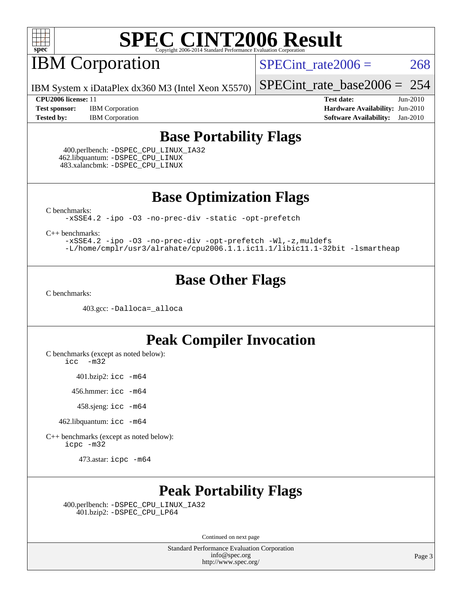

## **IBM Corporation**

SPECint rate $2006 = 268$ 

[SPECint\\_rate\\_base2006 =](http://www.spec.org/auto/cpu2006/Docs/result-fields.html#SPECintratebase2006) 254

IBM System x iDataPlex dx360 M3 (Intel Xeon X5570)

**[Test sponsor:](http://www.spec.org/auto/cpu2006/Docs/result-fields.html#Testsponsor)** IBM Corporation **[Hardware Availability:](http://www.spec.org/auto/cpu2006/Docs/result-fields.html#HardwareAvailability)** Jun-2010 **[Tested by:](http://www.spec.org/auto/cpu2006/Docs/result-fields.html#Testedby)** IBM Corporation **[Software Availability:](http://www.spec.org/auto/cpu2006/Docs/result-fields.html#SoftwareAvailability)** Jan-2010

**[CPU2006 license:](http://www.spec.org/auto/cpu2006/Docs/result-fields.html#CPU2006license)** 11 **[Test date:](http://www.spec.org/auto/cpu2006/Docs/result-fields.html#Testdate)** Jun-2010

### **[Base Portability Flags](http://www.spec.org/auto/cpu2006/Docs/result-fields.html#BasePortabilityFlags)**

 400.perlbench: [-DSPEC\\_CPU\\_LINUX\\_IA32](http://www.spec.org/cpu2006/results/res2010q3/cpu2006-20100621-11794.flags.html#b400.perlbench_baseCPORTABILITY_DSPEC_CPU_LINUX_IA32) 462.libquantum: [-DSPEC\\_CPU\\_LINUX](http://www.spec.org/cpu2006/results/res2010q3/cpu2006-20100621-11794.flags.html#b462.libquantum_baseCPORTABILITY_DSPEC_CPU_LINUX) 483.xalancbmk: [-DSPEC\\_CPU\\_LINUX](http://www.spec.org/cpu2006/results/res2010q3/cpu2006-20100621-11794.flags.html#b483.xalancbmk_baseCXXPORTABILITY_DSPEC_CPU_LINUX)

**[Base Optimization Flags](http://www.spec.org/auto/cpu2006/Docs/result-fields.html#BaseOptimizationFlags)**

[C benchmarks](http://www.spec.org/auto/cpu2006/Docs/result-fields.html#Cbenchmarks):

[-xSSE4.2](http://www.spec.org/cpu2006/results/res2010q3/cpu2006-20100621-11794.flags.html#user_CCbase_f-xSSE42_f91528193cf0b216347adb8b939d4107) [-ipo](http://www.spec.org/cpu2006/results/res2010q3/cpu2006-20100621-11794.flags.html#user_CCbase_f-ipo) [-O3](http://www.spec.org/cpu2006/results/res2010q3/cpu2006-20100621-11794.flags.html#user_CCbase_f-O3) [-no-prec-div](http://www.spec.org/cpu2006/results/res2010q3/cpu2006-20100621-11794.flags.html#user_CCbase_f-no-prec-div) [-static](http://www.spec.org/cpu2006/results/res2010q3/cpu2006-20100621-11794.flags.html#user_CCbase_f-static) [-opt-prefetch](http://www.spec.org/cpu2006/results/res2010q3/cpu2006-20100621-11794.flags.html#user_CCbase_f-opt-prefetch)

[C++ benchmarks:](http://www.spec.org/auto/cpu2006/Docs/result-fields.html#CXXbenchmarks)

[-xSSE4.2](http://www.spec.org/cpu2006/results/res2010q3/cpu2006-20100621-11794.flags.html#user_CXXbase_f-xSSE42_f91528193cf0b216347adb8b939d4107) [-ipo](http://www.spec.org/cpu2006/results/res2010q3/cpu2006-20100621-11794.flags.html#user_CXXbase_f-ipo) [-O3](http://www.spec.org/cpu2006/results/res2010q3/cpu2006-20100621-11794.flags.html#user_CXXbase_f-O3) [-no-prec-div](http://www.spec.org/cpu2006/results/res2010q3/cpu2006-20100621-11794.flags.html#user_CXXbase_f-no-prec-div) [-opt-prefetch](http://www.spec.org/cpu2006/results/res2010q3/cpu2006-20100621-11794.flags.html#user_CXXbase_f-opt-prefetch) [-Wl,-z,muldefs](http://www.spec.org/cpu2006/results/res2010q3/cpu2006-20100621-11794.flags.html#user_CXXbase_link_force_multiple1_74079c344b956b9658436fd1b6dd3a8a) [-L/home/cmplr/usr3/alrahate/cpu2006.1.1.ic11.1/libic11.1-32bit -lsmartheap](http://www.spec.org/cpu2006/results/res2010q3/cpu2006-20100621-11794.flags.html#user_CXXbase_SmartHeap_d86dffe4a79b79ef8890d5cce17030c3)

### **[Base Other Flags](http://www.spec.org/auto/cpu2006/Docs/result-fields.html#BaseOtherFlags)**

[C benchmarks](http://www.spec.org/auto/cpu2006/Docs/result-fields.html#Cbenchmarks):

403.gcc: [-Dalloca=\\_alloca](http://www.spec.org/cpu2006/results/res2010q3/cpu2006-20100621-11794.flags.html#b403.gcc_baseEXTRA_CFLAGS_Dalloca_be3056838c12de2578596ca5467af7f3)

### **[Peak Compiler Invocation](http://www.spec.org/auto/cpu2006/Docs/result-fields.html#PeakCompilerInvocation)**

[C benchmarks \(except as noted below\)](http://www.spec.org/auto/cpu2006/Docs/result-fields.html#Cbenchmarksexceptasnotedbelow):

[icc -m32](http://www.spec.org/cpu2006/results/res2010q3/cpu2006-20100621-11794.flags.html#user_CCpeak_intel_icc_32bit_5ff4a39e364c98233615fdd38438c6f2)

401.bzip2: [icc -m64](http://www.spec.org/cpu2006/results/res2010q3/cpu2006-20100621-11794.flags.html#user_peakCCLD401_bzip2_intel_icc_64bit_bda6cc9af1fdbb0edc3795bac97ada53)

456.hmmer: [icc -m64](http://www.spec.org/cpu2006/results/res2010q3/cpu2006-20100621-11794.flags.html#user_peakCCLD456_hmmer_intel_icc_64bit_bda6cc9af1fdbb0edc3795bac97ada53)

458.sjeng: [icc -m64](http://www.spec.org/cpu2006/results/res2010q3/cpu2006-20100621-11794.flags.html#user_peakCCLD458_sjeng_intel_icc_64bit_bda6cc9af1fdbb0edc3795bac97ada53)

462.libquantum: [icc -m64](http://www.spec.org/cpu2006/results/res2010q3/cpu2006-20100621-11794.flags.html#user_peakCCLD462_libquantum_intel_icc_64bit_bda6cc9af1fdbb0edc3795bac97ada53)

[C++ benchmarks \(except as noted below\):](http://www.spec.org/auto/cpu2006/Docs/result-fields.html#CXXbenchmarksexceptasnotedbelow) [icpc -m32](http://www.spec.org/cpu2006/results/res2010q3/cpu2006-20100621-11794.flags.html#user_CXXpeak_intel_icpc_32bit_4e5a5ef1a53fd332b3c49e69c3330699)

473.astar: [icpc -m64](http://www.spec.org/cpu2006/results/res2010q3/cpu2006-20100621-11794.flags.html#user_peakCXXLD473_astar_intel_icpc_64bit_fc66a5337ce925472a5c54ad6a0de310)

### **[Peak Portability Flags](http://www.spec.org/auto/cpu2006/Docs/result-fields.html#PeakPortabilityFlags)**

 400.perlbench: [-DSPEC\\_CPU\\_LINUX\\_IA32](http://www.spec.org/cpu2006/results/res2010q3/cpu2006-20100621-11794.flags.html#b400.perlbench_peakCPORTABILITY_DSPEC_CPU_LINUX_IA32) 401.bzip2: [-DSPEC\\_CPU\\_LP64](http://www.spec.org/cpu2006/results/res2010q3/cpu2006-20100621-11794.flags.html#suite_peakCPORTABILITY401_bzip2_DSPEC_CPU_LP64)

Continued on next page

Standard Performance Evaluation Corporation [info@spec.org](mailto:info@spec.org) <http://www.spec.org/>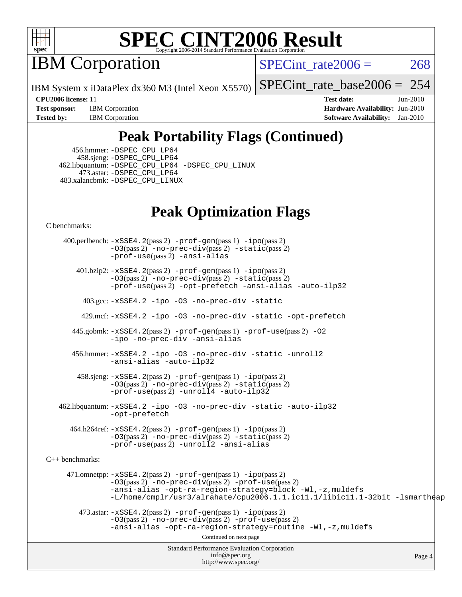

IBM Corporation

SPECint rate $2006 = 268$ 

IBM System x iDataPlex dx360 M3 (Intel Xeon X5570)

[SPECint\\_rate\\_base2006 =](http://www.spec.org/auto/cpu2006/Docs/result-fields.html#SPECintratebase2006) 254

**[Test sponsor:](http://www.spec.org/auto/cpu2006/Docs/result-fields.html#Testsponsor)** IBM Corporation **[Hardware Availability:](http://www.spec.org/auto/cpu2006/Docs/result-fields.html#HardwareAvailability)** Jun-2010 **[Tested by:](http://www.spec.org/auto/cpu2006/Docs/result-fields.html#Testedby)** IBM Corporation **[Software Availability:](http://www.spec.org/auto/cpu2006/Docs/result-fields.html#SoftwareAvailability)** Jan-2010

**[CPU2006 license:](http://www.spec.org/auto/cpu2006/Docs/result-fields.html#CPU2006license)** 11 **[Test date:](http://www.spec.org/auto/cpu2006/Docs/result-fields.html#Testdate)** Jun-2010

## **[Peak Portability Flags \(Continued\)](http://www.spec.org/auto/cpu2006/Docs/result-fields.html#PeakPortabilityFlags)**

 456.hmmer: [-DSPEC\\_CPU\\_LP64](http://www.spec.org/cpu2006/results/res2010q3/cpu2006-20100621-11794.flags.html#suite_peakCPORTABILITY456_hmmer_DSPEC_CPU_LP64) 458.sjeng: [-DSPEC\\_CPU\\_LP64](http://www.spec.org/cpu2006/results/res2010q3/cpu2006-20100621-11794.flags.html#suite_peakCPORTABILITY458_sjeng_DSPEC_CPU_LP64) 462.libquantum: [-DSPEC\\_CPU\\_LP64](http://www.spec.org/cpu2006/results/res2010q3/cpu2006-20100621-11794.flags.html#suite_peakCPORTABILITY462_libquantum_DSPEC_CPU_LP64) [-DSPEC\\_CPU\\_LINUX](http://www.spec.org/cpu2006/results/res2010q3/cpu2006-20100621-11794.flags.html#b462.libquantum_peakCPORTABILITY_DSPEC_CPU_LINUX) 473.astar: [-DSPEC\\_CPU\\_LP64](http://www.spec.org/cpu2006/results/res2010q3/cpu2006-20100621-11794.flags.html#suite_peakCXXPORTABILITY473_astar_DSPEC_CPU_LP64) 483.xalancbmk: [-DSPEC\\_CPU\\_LINUX](http://www.spec.org/cpu2006/results/res2010q3/cpu2006-20100621-11794.flags.html#b483.xalancbmk_peakCXXPORTABILITY_DSPEC_CPU_LINUX)

### **[Peak Optimization Flags](http://www.spec.org/auto/cpu2006/Docs/result-fields.html#PeakOptimizationFlags)**

[C benchmarks](http://www.spec.org/auto/cpu2006/Docs/result-fields.html#Cbenchmarks):

Standard Performance Evaluation Corporation [info@spec.org](mailto:info@spec.org) <http://www.spec.org/> Page 4 400.perlbench: [-xSSE4.2](http://www.spec.org/cpu2006/results/res2010q3/cpu2006-20100621-11794.flags.html#user_peakPASS2_CFLAGSPASS2_LDCFLAGS400_perlbench_f-xSSE42_f91528193cf0b216347adb8b939d4107)(pass 2) [-prof-gen](http://www.spec.org/cpu2006/results/res2010q3/cpu2006-20100621-11794.flags.html#user_peakPASS1_CFLAGSPASS1_LDCFLAGS400_perlbench_prof_gen_e43856698f6ca7b7e442dfd80e94a8fc)(pass 1) [-ipo](http://www.spec.org/cpu2006/results/res2010q3/cpu2006-20100621-11794.flags.html#user_peakPASS2_CFLAGSPASS2_LDCFLAGS400_perlbench_f-ipo)(pass 2) [-O3](http://www.spec.org/cpu2006/results/res2010q3/cpu2006-20100621-11794.flags.html#user_peakPASS2_CFLAGSPASS2_LDCFLAGS400_perlbench_f-O3)(pass 2) [-no-prec-div](http://www.spec.org/cpu2006/results/res2010q3/cpu2006-20100621-11794.flags.html#user_peakPASS2_CFLAGSPASS2_LDCFLAGS400_perlbench_f-no-prec-div)(pass 2) [-static](http://www.spec.org/cpu2006/results/res2010q3/cpu2006-20100621-11794.flags.html#user_peakPASS2_CFLAGSPASS2_LDCFLAGS400_perlbench_f-static)(pass 2) [-prof-use](http://www.spec.org/cpu2006/results/res2010q3/cpu2006-20100621-11794.flags.html#user_peakPASS2_CFLAGSPASS2_LDCFLAGS400_perlbench_prof_use_bccf7792157ff70d64e32fe3e1250b55)(pass 2) [-ansi-alias](http://www.spec.org/cpu2006/results/res2010q3/cpu2006-20100621-11794.flags.html#user_peakCOPTIMIZE400_perlbench_f-ansi-alias) 401.bzip2: [-xSSE4.2](http://www.spec.org/cpu2006/results/res2010q3/cpu2006-20100621-11794.flags.html#user_peakPASS2_CFLAGSPASS2_LDCFLAGS401_bzip2_f-xSSE42_f91528193cf0b216347adb8b939d4107)(pass 2) [-prof-gen](http://www.spec.org/cpu2006/results/res2010q3/cpu2006-20100621-11794.flags.html#user_peakPASS1_CFLAGSPASS1_LDCFLAGS401_bzip2_prof_gen_e43856698f6ca7b7e442dfd80e94a8fc)(pass 1) [-ipo](http://www.spec.org/cpu2006/results/res2010q3/cpu2006-20100621-11794.flags.html#user_peakPASS2_CFLAGSPASS2_LDCFLAGS401_bzip2_f-ipo)(pass 2) [-O3](http://www.spec.org/cpu2006/results/res2010q3/cpu2006-20100621-11794.flags.html#user_peakPASS2_CFLAGSPASS2_LDCFLAGS401_bzip2_f-O3)(pass 2) [-no-prec-div](http://www.spec.org/cpu2006/results/res2010q3/cpu2006-20100621-11794.flags.html#user_peakPASS2_CFLAGSPASS2_LDCFLAGS401_bzip2_f-no-prec-div)(pass 2) [-static](http://www.spec.org/cpu2006/results/res2010q3/cpu2006-20100621-11794.flags.html#user_peakPASS2_CFLAGSPASS2_LDCFLAGS401_bzip2_f-static)(pass 2) [-prof-use](http://www.spec.org/cpu2006/results/res2010q3/cpu2006-20100621-11794.flags.html#user_peakPASS2_CFLAGSPASS2_LDCFLAGS401_bzip2_prof_use_bccf7792157ff70d64e32fe3e1250b55)(pass 2) [-opt-prefetch](http://www.spec.org/cpu2006/results/res2010q3/cpu2006-20100621-11794.flags.html#user_peakCOPTIMIZE401_bzip2_f-opt-prefetch) [-ansi-alias](http://www.spec.org/cpu2006/results/res2010q3/cpu2006-20100621-11794.flags.html#user_peakCOPTIMIZE401_bzip2_f-ansi-alias) [-auto-ilp32](http://www.spec.org/cpu2006/results/res2010q3/cpu2006-20100621-11794.flags.html#user_peakCOPTIMIZE401_bzip2_f-auto-ilp32) 403.gcc: [-xSSE4.2](http://www.spec.org/cpu2006/results/res2010q3/cpu2006-20100621-11794.flags.html#user_peakCOPTIMIZE403_gcc_f-xSSE42_f91528193cf0b216347adb8b939d4107) [-ipo](http://www.spec.org/cpu2006/results/res2010q3/cpu2006-20100621-11794.flags.html#user_peakCOPTIMIZE403_gcc_f-ipo) [-O3](http://www.spec.org/cpu2006/results/res2010q3/cpu2006-20100621-11794.flags.html#user_peakCOPTIMIZE403_gcc_f-O3) [-no-prec-div](http://www.spec.org/cpu2006/results/res2010q3/cpu2006-20100621-11794.flags.html#user_peakCOPTIMIZE403_gcc_f-no-prec-div) [-static](http://www.spec.org/cpu2006/results/res2010q3/cpu2006-20100621-11794.flags.html#user_peakCOPTIMIZE403_gcc_f-static) 429.mcf: [-xSSE4.2](http://www.spec.org/cpu2006/results/res2010q3/cpu2006-20100621-11794.flags.html#user_peakCOPTIMIZE429_mcf_f-xSSE42_f91528193cf0b216347adb8b939d4107) [-ipo](http://www.spec.org/cpu2006/results/res2010q3/cpu2006-20100621-11794.flags.html#user_peakCOPTIMIZE429_mcf_f-ipo) [-O3](http://www.spec.org/cpu2006/results/res2010q3/cpu2006-20100621-11794.flags.html#user_peakCOPTIMIZE429_mcf_f-O3) [-no-prec-div](http://www.spec.org/cpu2006/results/res2010q3/cpu2006-20100621-11794.flags.html#user_peakCOPTIMIZE429_mcf_f-no-prec-div) [-static](http://www.spec.org/cpu2006/results/res2010q3/cpu2006-20100621-11794.flags.html#user_peakCOPTIMIZE429_mcf_f-static) [-opt-prefetch](http://www.spec.org/cpu2006/results/res2010q3/cpu2006-20100621-11794.flags.html#user_peakCOPTIMIZE429_mcf_f-opt-prefetch) 445.gobmk: [-xSSE4.2](http://www.spec.org/cpu2006/results/res2010q3/cpu2006-20100621-11794.flags.html#user_peakPASS2_CFLAGSPASS2_LDCFLAGS445_gobmk_f-xSSE42_f91528193cf0b216347adb8b939d4107)(pass 2) [-prof-gen](http://www.spec.org/cpu2006/results/res2010q3/cpu2006-20100621-11794.flags.html#user_peakPASS1_CFLAGSPASS1_LDCFLAGS445_gobmk_prof_gen_e43856698f6ca7b7e442dfd80e94a8fc)(pass 1) [-prof-use](http://www.spec.org/cpu2006/results/res2010q3/cpu2006-20100621-11794.flags.html#user_peakPASS2_CFLAGSPASS2_LDCFLAGS445_gobmk_prof_use_bccf7792157ff70d64e32fe3e1250b55)(pass 2) [-O2](http://www.spec.org/cpu2006/results/res2010q3/cpu2006-20100621-11794.flags.html#user_peakCOPTIMIZE445_gobmk_f-O2) [-ipo](http://www.spec.org/cpu2006/results/res2010q3/cpu2006-20100621-11794.flags.html#user_peakCOPTIMIZE445_gobmk_f-ipo) [-no-prec-div](http://www.spec.org/cpu2006/results/res2010q3/cpu2006-20100621-11794.flags.html#user_peakCOPTIMIZE445_gobmk_f-no-prec-div) [-ansi-alias](http://www.spec.org/cpu2006/results/res2010q3/cpu2006-20100621-11794.flags.html#user_peakCOPTIMIZE445_gobmk_f-ansi-alias) 456.hmmer: [-xSSE4.2](http://www.spec.org/cpu2006/results/res2010q3/cpu2006-20100621-11794.flags.html#user_peakCOPTIMIZE456_hmmer_f-xSSE42_f91528193cf0b216347adb8b939d4107) [-ipo](http://www.spec.org/cpu2006/results/res2010q3/cpu2006-20100621-11794.flags.html#user_peakCOPTIMIZE456_hmmer_f-ipo) [-O3](http://www.spec.org/cpu2006/results/res2010q3/cpu2006-20100621-11794.flags.html#user_peakCOPTIMIZE456_hmmer_f-O3) [-no-prec-div](http://www.spec.org/cpu2006/results/res2010q3/cpu2006-20100621-11794.flags.html#user_peakCOPTIMIZE456_hmmer_f-no-prec-div) [-static](http://www.spec.org/cpu2006/results/res2010q3/cpu2006-20100621-11794.flags.html#user_peakCOPTIMIZE456_hmmer_f-static) [-unroll2](http://www.spec.org/cpu2006/results/res2010q3/cpu2006-20100621-11794.flags.html#user_peakCOPTIMIZE456_hmmer_f-unroll_784dae83bebfb236979b41d2422d7ec2) [-ansi-alias](http://www.spec.org/cpu2006/results/res2010q3/cpu2006-20100621-11794.flags.html#user_peakCOPTIMIZE456_hmmer_f-ansi-alias) [-auto-ilp32](http://www.spec.org/cpu2006/results/res2010q3/cpu2006-20100621-11794.flags.html#user_peakCOPTIMIZE456_hmmer_f-auto-ilp32) 458.sjeng: [-xSSE4.2](http://www.spec.org/cpu2006/results/res2010q3/cpu2006-20100621-11794.flags.html#user_peakPASS2_CFLAGSPASS2_LDCFLAGS458_sjeng_f-xSSE42_f91528193cf0b216347adb8b939d4107)(pass 2) [-prof-gen](http://www.spec.org/cpu2006/results/res2010q3/cpu2006-20100621-11794.flags.html#user_peakPASS1_CFLAGSPASS1_LDCFLAGS458_sjeng_prof_gen_e43856698f6ca7b7e442dfd80e94a8fc)(pass 1) [-ipo](http://www.spec.org/cpu2006/results/res2010q3/cpu2006-20100621-11794.flags.html#user_peakPASS2_CFLAGSPASS2_LDCFLAGS458_sjeng_f-ipo)(pass 2) [-O3](http://www.spec.org/cpu2006/results/res2010q3/cpu2006-20100621-11794.flags.html#user_peakPASS2_CFLAGSPASS2_LDCFLAGS458_sjeng_f-O3)(pass 2) [-no-prec-div](http://www.spec.org/cpu2006/results/res2010q3/cpu2006-20100621-11794.flags.html#user_peakPASS2_CFLAGSPASS2_LDCFLAGS458_sjeng_f-no-prec-div)(pass 2) [-static](http://www.spec.org/cpu2006/results/res2010q3/cpu2006-20100621-11794.flags.html#user_peakPASS2_CFLAGSPASS2_LDCFLAGS458_sjeng_f-static)(pass 2) [-prof-use](http://www.spec.org/cpu2006/results/res2010q3/cpu2006-20100621-11794.flags.html#user_peakPASS2_CFLAGSPASS2_LDCFLAGS458_sjeng_prof_use_bccf7792157ff70d64e32fe3e1250b55)(pass 2) [-unroll4](http://www.spec.org/cpu2006/results/res2010q3/cpu2006-20100621-11794.flags.html#user_peakCOPTIMIZE458_sjeng_f-unroll_4e5e4ed65b7fd20bdcd365bec371b81f) [-auto-ilp32](http://www.spec.org/cpu2006/results/res2010q3/cpu2006-20100621-11794.flags.html#user_peakCOPTIMIZE458_sjeng_f-auto-ilp32) 462.libquantum: [-xSSE4.2](http://www.spec.org/cpu2006/results/res2010q3/cpu2006-20100621-11794.flags.html#user_peakCOPTIMIZE462_libquantum_f-xSSE42_f91528193cf0b216347adb8b939d4107) [-ipo](http://www.spec.org/cpu2006/results/res2010q3/cpu2006-20100621-11794.flags.html#user_peakCOPTIMIZE462_libquantum_f-ipo) [-O3](http://www.spec.org/cpu2006/results/res2010q3/cpu2006-20100621-11794.flags.html#user_peakCOPTIMIZE462_libquantum_f-O3) [-no-prec-div](http://www.spec.org/cpu2006/results/res2010q3/cpu2006-20100621-11794.flags.html#user_peakCOPTIMIZE462_libquantum_f-no-prec-div) [-static](http://www.spec.org/cpu2006/results/res2010q3/cpu2006-20100621-11794.flags.html#user_peakCOPTIMIZE462_libquantum_f-static) [-auto-ilp32](http://www.spec.org/cpu2006/results/res2010q3/cpu2006-20100621-11794.flags.html#user_peakCOPTIMIZE462_libquantum_f-auto-ilp32) [-opt-prefetch](http://www.spec.org/cpu2006/results/res2010q3/cpu2006-20100621-11794.flags.html#user_peakCOPTIMIZE462_libquantum_f-opt-prefetch) 464.h264ref: [-xSSE4.2](http://www.spec.org/cpu2006/results/res2010q3/cpu2006-20100621-11794.flags.html#user_peakPASS2_CFLAGSPASS2_LDCFLAGS464_h264ref_f-xSSE42_f91528193cf0b216347adb8b939d4107)(pass 2) [-prof-gen](http://www.spec.org/cpu2006/results/res2010q3/cpu2006-20100621-11794.flags.html#user_peakPASS1_CFLAGSPASS1_LDCFLAGS464_h264ref_prof_gen_e43856698f6ca7b7e442dfd80e94a8fc)(pass 1) [-ipo](http://www.spec.org/cpu2006/results/res2010q3/cpu2006-20100621-11794.flags.html#user_peakPASS2_CFLAGSPASS2_LDCFLAGS464_h264ref_f-ipo)(pass 2) [-O3](http://www.spec.org/cpu2006/results/res2010q3/cpu2006-20100621-11794.flags.html#user_peakPASS2_CFLAGSPASS2_LDCFLAGS464_h264ref_f-O3)(pass 2) [-no-prec-div](http://www.spec.org/cpu2006/results/res2010q3/cpu2006-20100621-11794.flags.html#user_peakPASS2_CFLAGSPASS2_LDCFLAGS464_h264ref_f-no-prec-div)(pass 2) [-static](http://www.spec.org/cpu2006/results/res2010q3/cpu2006-20100621-11794.flags.html#user_peakPASS2_CFLAGSPASS2_LDCFLAGS464_h264ref_f-static)(pass 2) [-prof-use](http://www.spec.org/cpu2006/results/res2010q3/cpu2006-20100621-11794.flags.html#user_peakPASS2_CFLAGSPASS2_LDCFLAGS464_h264ref_prof_use_bccf7792157ff70d64e32fe3e1250b55)(pass 2) [-unroll2](http://www.spec.org/cpu2006/results/res2010q3/cpu2006-20100621-11794.flags.html#user_peakCOPTIMIZE464_h264ref_f-unroll_784dae83bebfb236979b41d2422d7ec2) [-ansi-alias](http://www.spec.org/cpu2006/results/res2010q3/cpu2006-20100621-11794.flags.html#user_peakCOPTIMIZE464_h264ref_f-ansi-alias) [C++ benchmarks:](http://www.spec.org/auto/cpu2006/Docs/result-fields.html#CXXbenchmarks) 471.omnetpp: [-xSSE4.2](http://www.spec.org/cpu2006/results/res2010q3/cpu2006-20100621-11794.flags.html#user_peakPASS2_CXXFLAGSPASS2_LDCXXFLAGS471_omnetpp_f-xSSE42_f91528193cf0b216347adb8b939d4107)(pass 2) [-prof-gen](http://www.spec.org/cpu2006/results/res2010q3/cpu2006-20100621-11794.flags.html#user_peakPASS1_CXXFLAGSPASS1_LDCXXFLAGS471_omnetpp_prof_gen_e43856698f6ca7b7e442dfd80e94a8fc)(pass 1) [-ipo](http://www.spec.org/cpu2006/results/res2010q3/cpu2006-20100621-11794.flags.html#user_peakPASS2_CXXFLAGSPASS2_LDCXXFLAGS471_omnetpp_f-ipo)(pass 2) [-O3](http://www.spec.org/cpu2006/results/res2010q3/cpu2006-20100621-11794.flags.html#user_peakPASS2_CXXFLAGSPASS2_LDCXXFLAGS471_omnetpp_f-O3)(pass 2) [-no-prec-div](http://www.spec.org/cpu2006/results/res2010q3/cpu2006-20100621-11794.flags.html#user_peakPASS2_CXXFLAGSPASS2_LDCXXFLAGS471_omnetpp_f-no-prec-div)(pass 2) [-prof-use](http://www.spec.org/cpu2006/results/res2010q3/cpu2006-20100621-11794.flags.html#user_peakPASS2_CXXFLAGSPASS2_LDCXXFLAGS471_omnetpp_prof_use_bccf7792157ff70d64e32fe3e1250b55)(pass 2) [-ansi-alias](http://www.spec.org/cpu2006/results/res2010q3/cpu2006-20100621-11794.flags.html#user_peakCXXOPTIMIZE471_omnetpp_f-ansi-alias) [-opt-ra-region-strategy=block](http://www.spec.org/cpu2006/results/res2010q3/cpu2006-20100621-11794.flags.html#user_peakCXXOPTIMIZE471_omnetpp_f-opt-ra-region-strategy-block_a0a37c372d03933b2a18d4af463c1f69) [-Wl,-z,muldefs](http://www.spec.org/cpu2006/results/res2010q3/cpu2006-20100621-11794.flags.html#user_peakEXTRA_LDFLAGS471_omnetpp_link_force_multiple1_74079c344b956b9658436fd1b6dd3a8a) [-L/home/cmplr/usr3/alrahate/cpu2006.1.1.ic11.1/libic11.1-32bit -lsmartheap](http://www.spec.org/cpu2006/results/res2010q3/cpu2006-20100621-11794.flags.html#user_peakEXTRA_LIBS471_omnetpp_SmartHeap_d86dffe4a79b79ef8890d5cce17030c3)  $473.\text{astar: } -xSSE4$ .  $2(\text{pass 2})$   $-\text{prof-gen}(\text{pass 1})$   $-i\text{po}(\text{pass 2})$ [-O3](http://www.spec.org/cpu2006/results/res2010q3/cpu2006-20100621-11794.flags.html#user_peakPASS2_CXXFLAGSPASS2_LDCXXFLAGS473_astar_f-O3)(pass 2) [-no-prec-div](http://www.spec.org/cpu2006/results/res2010q3/cpu2006-20100621-11794.flags.html#user_peakPASS2_CXXFLAGSPASS2_LDCXXFLAGS473_astar_f-no-prec-div)(pass 2) [-prof-use](http://www.spec.org/cpu2006/results/res2010q3/cpu2006-20100621-11794.flags.html#user_peakPASS2_CXXFLAGSPASS2_LDCXXFLAGS473_astar_prof_use_bccf7792157ff70d64e32fe3e1250b55)(pass 2) [-ansi-alias](http://www.spec.org/cpu2006/results/res2010q3/cpu2006-20100621-11794.flags.html#user_peakCXXOPTIMIZE473_astar_f-ansi-alias) [-opt-ra-region-strategy=routine](http://www.spec.org/cpu2006/results/res2010q3/cpu2006-20100621-11794.flags.html#user_peakCXXOPTIMIZE473_astar_f-opt-ra-region-strategy-routine_ba086ea3b1d46a52e1238e2ca173ed44) [-Wl,-z,muldefs](http://www.spec.org/cpu2006/results/res2010q3/cpu2006-20100621-11794.flags.html#user_peakEXTRA_LDFLAGS473_astar_link_force_multiple1_74079c344b956b9658436fd1b6dd3a8a) Continued on next page